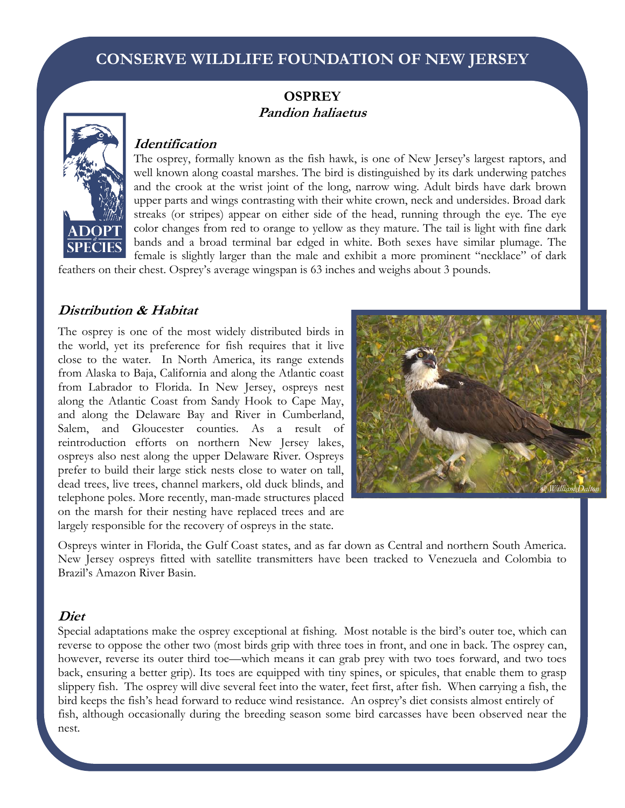# **CONSERVE WILDLIFE FOUNDATION OF NEW JERSEY**

## **OSPREY Pandion haliaetus**



### **Identification**

The osprey, formally known as the fish hawk, is one of New Jersey's largest raptors, and well known along coastal marshes. The bird is distinguished by its dark underwing patches and the crook at the wrist joint of the long, narrow wing. Adult birds have dark brown upper parts and wings contrasting with their white crown, neck and undersides. Broad dark streaks (or stripes) appear on either side of the head, running through the eye. The eye color changes from red to orange to yellow as they mature. The tail is light with fine dark bands and a broad terminal bar edged in white. Both sexes have similar plumage. The female is slightly larger than the male and exhibit a more prominent "necklace" of dark

feathers on their chest. Osprey's average wingspan is 63 inches and weighs about 3 pounds.

### **Distribution & Habitat**

The osprey is one of the most widely distributed birds in the world, yet its preference for fish requires that it live close to the water. In North America, its range extends from Alaska to Baja, California and along the Atlantic coast from Labrador to Florida. In New Jersey, ospreys nest along the Atlantic Coast from Sandy Hook to Cape May, and along the Delaware Bay and River in Cumberland, Salem, and Gloucester counties. As a result of reintroduction efforts on northern New Jersey lakes, ospreys also nest along the upper Delaware River. Ospreys prefer to build their large stick nests close to water on tall, dead trees, live trees, channel markers, old duck blinds, and telephone poles. More recently, man-made structures placed on the marsh for their nesting have replaced trees and are largely responsible for the recovery of ospreys in the state.



Ospreys winter in Florida, the Gulf Coast states, and as far down as Central and northern South America. New Jersey ospreys fitted with satellite transmitters have been tracked to Venezuela and Colombia to Brazil's Amazon River Basin.

#### **Diet**

Special adaptations make the osprey exceptional at fishing. Most notable is the bird's outer toe, which can reverse to oppose the other two (most birds grip with three toes in front, and one in back. The osprey can, however, reverse its outer third toe—which means it can grab prey with two toes forward, and two toes back, ensuring a better grip). Its toes are equipped with tiny spines, or spicules, that enable them to grasp slippery fish. The osprey will dive several feet into the water, feet first, after fish. When carrying a fish, the bird keeps the fish's head forward to reduce wind resistance. An osprey's diet consists almost entirely of fish, although occasionally during the breeding season some bird carcasses have been observed near the nest.